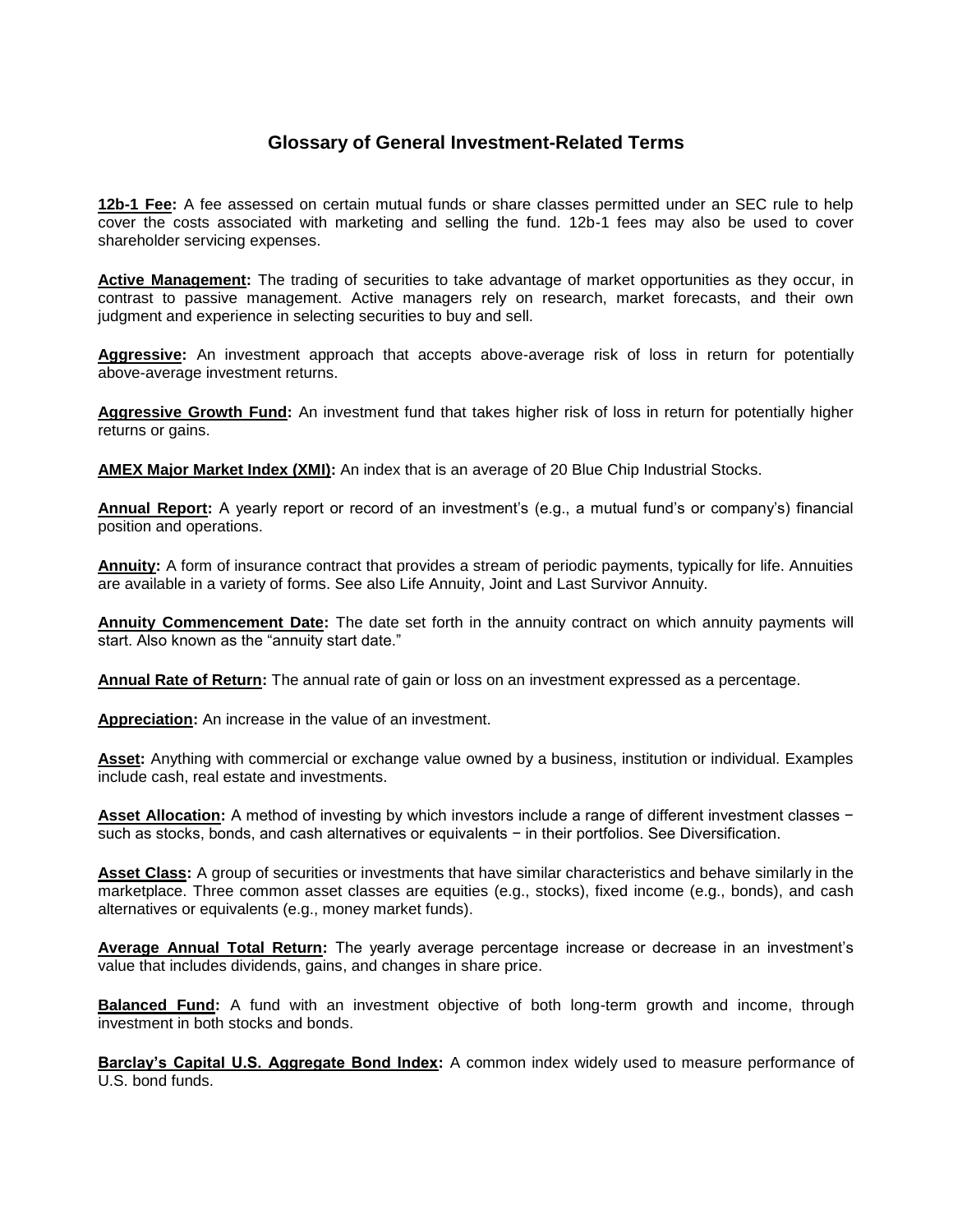## **Glossary of General Investment-Related Terms**

**12b-1 Fee:** A fee assessed on certain mutual funds or share classes permitted under an SEC rule to help cover the costs associated with marketing and selling the fund. 12b-1 fees may also be used to cover shareholder servicing expenses.

**Active Management:** The trading of securities to take advantage of market opportunities as they occur, in contrast to passive management. Active managers rely on research, market forecasts, and their own judgment and experience in selecting securities to buy and sell.

**Aggressive:** An investment approach that accepts above-average risk of loss in return for potentially above-average investment returns.

**Aggressive Growth Fund:** An investment fund that takes higher risk of loss in return for potentially higher returns or gains.

**AMEX Major Market Index (XMI):** An index that is an average of 20 Blue Chip Industrial Stocks.

**Annual Report:** A yearly report or record of an investment's (e.g., a mutual fund's or company's) financial position and operations.

**Annuity:** A form of insurance contract that provides a stream of periodic payments, typically for life. Annuities are available in a variety of forms. See also Life Annuity, Joint and Last Survivor Annuity.

**Annuity Commencement Date:** The date set forth in the annuity contract on which annuity payments will start. Also known as the "annuity start date."

**Annual Rate of Return:** The annual rate of gain or loss on an investment expressed as a percentage.

**Appreciation:** An increase in the value of an investment.

**Asset:** Anything with commercial or exchange value owned by a business, institution or individual. Examples include cash, real estate and investments.

**Asset Allocation:** A method of investing by which investors include a range of different investment classes − such as stocks, bonds, and cash alternatives or equivalents − in their portfolios. See Diversification.

**Asset Class:** A group of securities or investments that have similar characteristics and behave similarly in the marketplace. Three common asset classes are equities (e.g., stocks), fixed income (e.g., bonds), and cash alternatives or equivalents (e.g., money market funds).

**Average Annual Total Return:** The yearly average percentage increase or decrease in an investment's value that includes dividends, gains, and changes in share price.

**Balanced Fund:** A fund with an investment objective of both long-term growth and income, through investment in both stocks and bonds.

**Barclay's Capital U.S. Aggregate Bond Index:** A common index widely used to measure performance of U.S. bond funds.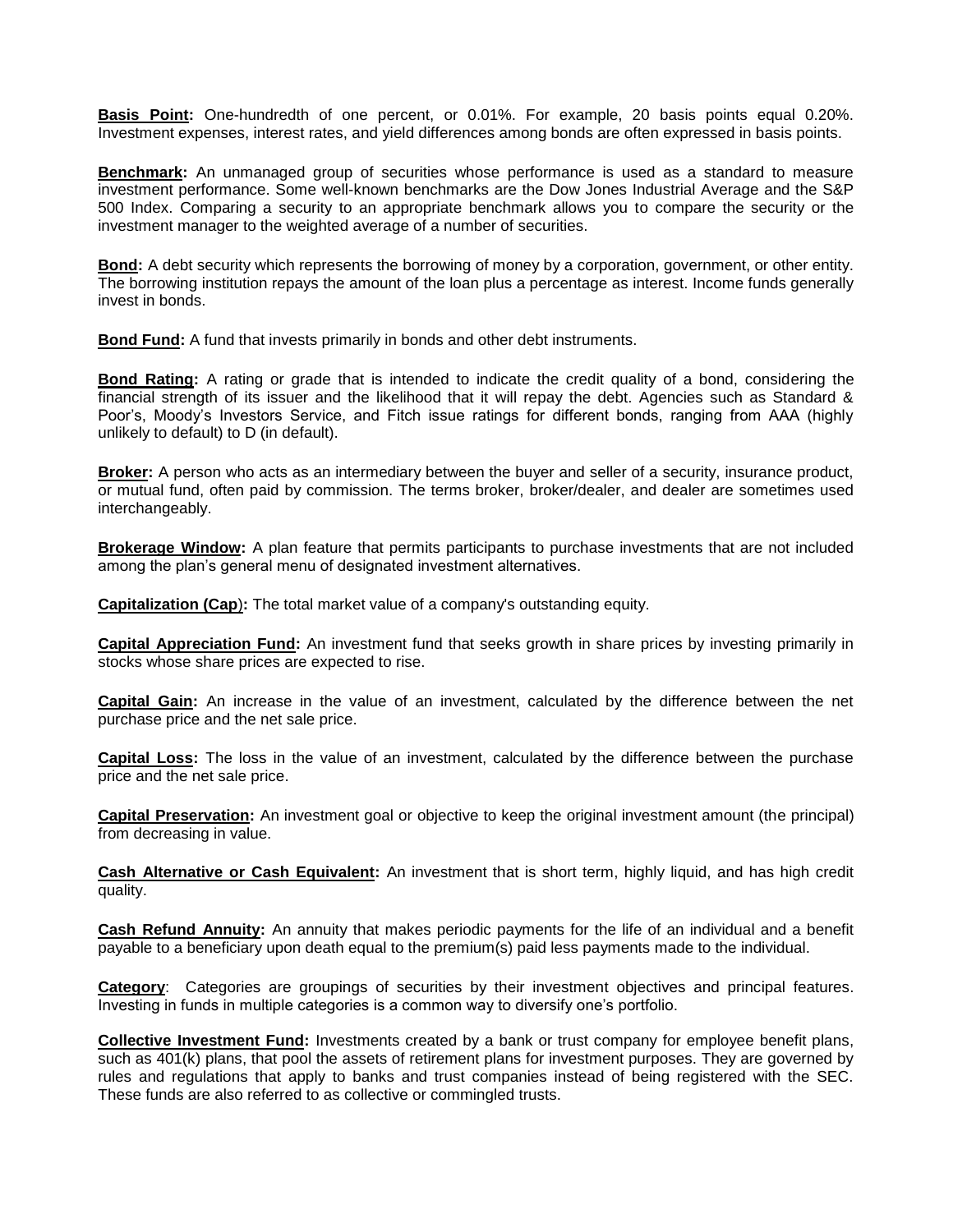**Basis Point:** One-hundredth of one percent, or 0.01%. For example, 20 basis points equal 0.20%. Investment expenses, interest rates, and yield differences among bonds are often expressed in basis points.

**Benchmark:** An unmanaged group of securities whose performance is used as a standard to measure investment performance. Some well-known benchmarks are the Dow Jones Industrial Average and the S&P 500 Index. Comparing a security to an appropriate benchmark allows you to compare the security or the investment manager to the weighted average of a number of securities.

**Bond:** A debt security which represents the borrowing of money by a corporation, government, or other entity. The borrowing institution repays the amount of the loan plus a percentage as interest. Income funds generally invest in bonds.

**Bond Fund:** A fund that invests primarily in bonds and other debt instruments.

**Bond Rating:** A rating or grade that is intended to indicate the credit quality of a bond, considering the financial strength of its issuer and the likelihood that it will repay the debt. Agencies such as Standard & Poor's, Moody's Investors Service, and Fitch issue ratings for different bonds, ranging from AAA (highly unlikely to default) to D (in default).

**Broker:** A person who acts as an intermediary between the buyer and seller of a security, insurance product, or mutual fund, often paid by commission. The terms broker, broker/dealer, and dealer are sometimes used interchangeably.

**Brokerage Window:** A plan feature that permits participants to purchase investments that are not included among the plan's general menu of designated investment alternatives.

**Capitalization (Cap**)**:** The total market value of a company's outstanding equity.

**Capital Appreciation Fund:** An investment fund that seeks growth in share prices by investing primarily in stocks whose share prices are expected to rise.

**Capital Gain:** An increase in the value of an investment, calculated by the difference between the net purchase price and the net sale price.

**Capital Loss:** The loss in the value of an investment, calculated by the difference between the purchase price and the net sale price.

**Capital Preservation:** An investment goal or objective to keep the original investment amount (the principal) from decreasing in value.

**Cash Alternative or Cash Equivalent:** An investment that is short term, highly liquid, and has high credit quality.

**Cash Refund Annuity:** An annuity that makes periodic payments for the life of an individual and a benefit payable to a beneficiary upon death equal to the premium(s) paid less payments made to the individual.

**Category**: Categories are groupings of securities by their investment objectives and principal features. Investing in funds in multiple categories is a common way to diversify one's portfolio.

**Collective Investment Fund:** Investments created by a bank or trust company for employee benefit plans, such as 401(k) plans, that pool the assets of retirement plans for investment purposes. They are governed by rules and regulations that apply to banks and trust companies instead of being registered with the SEC. These funds are also referred to as collective or commingled trusts.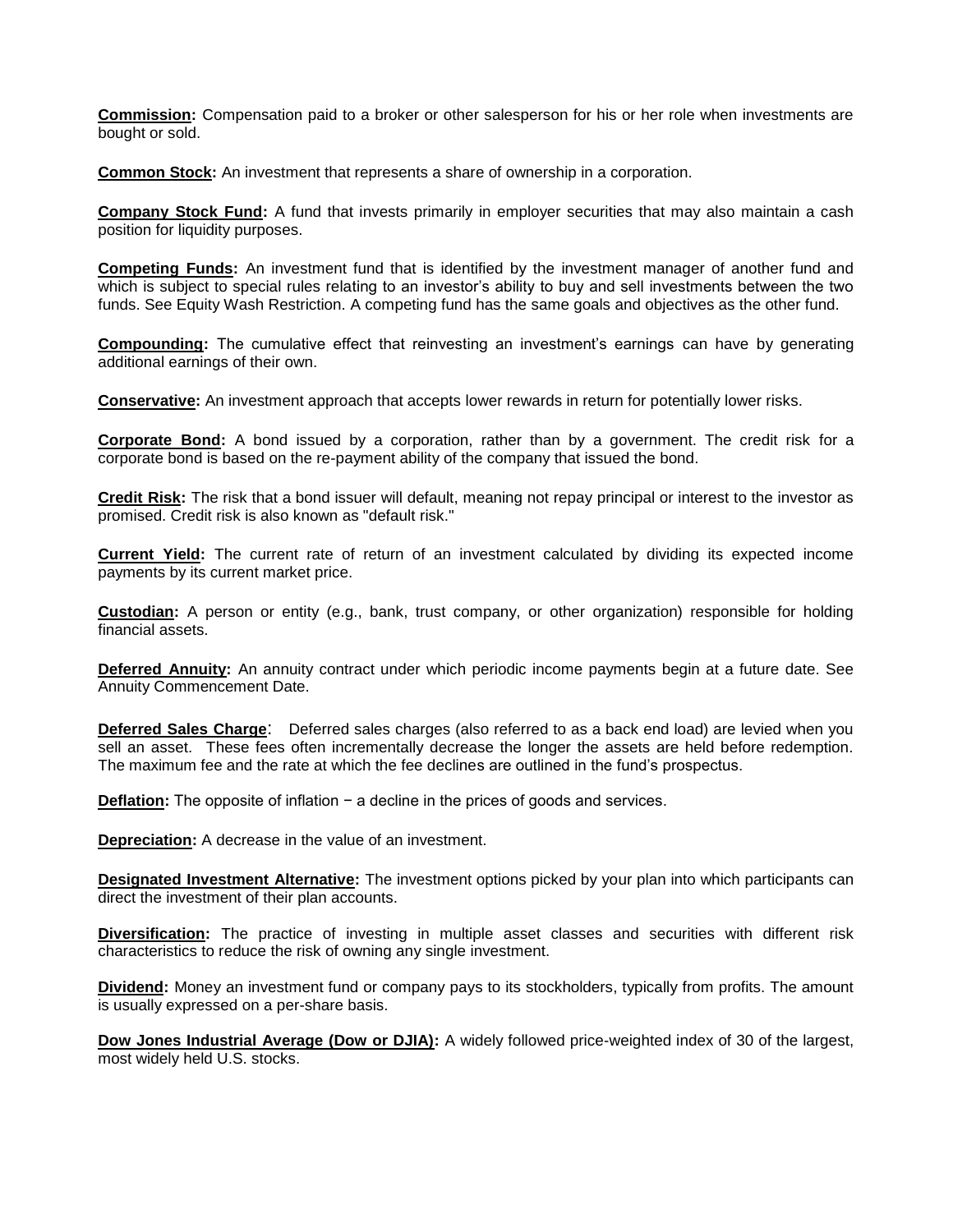**Commission:** Compensation paid to a broker or other salesperson for his or her role when investments are bought or sold.

**Common Stock:** An investment that represents a share of ownership in a corporation.

**Company Stock Fund:** A fund that invests primarily in employer securities that may also maintain a cash position for liquidity purposes.

**Competing Funds:** An investment fund that is identified by the investment manager of another fund and which is subject to special rules relating to an investor's ability to buy and sell investments between the two funds. See Equity Wash Restriction. A competing fund has the same goals and objectives as the other fund.

**Compounding:** The cumulative effect that reinvesting an investment's earnings can have by generating additional earnings of their own.

**Conservative:** An investment approach that accepts lower rewards in return for potentially lower risks.

**Corporate Bond:** A bond issued by a corporation, rather than by a government. The credit risk for a corporate bond is based on the re-payment ability of the company that issued the bond.

**Credit Risk:** The risk that a bond issuer will default, meaning not repay principal or interest to the investor as promised. Credit risk is also known as "default risk."

**Current Yield:** The current rate of return of an investment calculated by dividing its expected income payments by its current market price.

**Custodian:** A person or entity (e.g., bank, trust company, or other organization) responsible for holding financial assets.

**Deferred Annuity:** An annuity contract under which periodic income payments begin at a future date. See Annuity Commencement Date.

**Deferred Sales Charge**: Deferred sales charges (also referred to as a back end load) are levied when you sell an asset. These fees often incrementally decrease the longer the assets are held before redemption. The maximum fee and the rate at which the fee declines are outlined in the fund's prospectus.

**Deflation:** The opposite of inflation − a decline in the prices of goods and services.

**Depreciation:** A decrease in the value of an investment.

**Designated Investment Alternative:** The investment options picked by your plan into which participants can direct the investment of their plan accounts.

**Diversification:** The practice of investing in multiple asset classes and securities with different risk characteristics to reduce the risk of owning any single investment.

**Dividend:** Money an investment fund or company pays to its stockholders, typically from profits. The amount is usually expressed on a per-share basis.

**Dow Jones Industrial Average (Dow or DJIA):** A widely followed price-weighted index of 30 of the largest, most widely held U.S. stocks.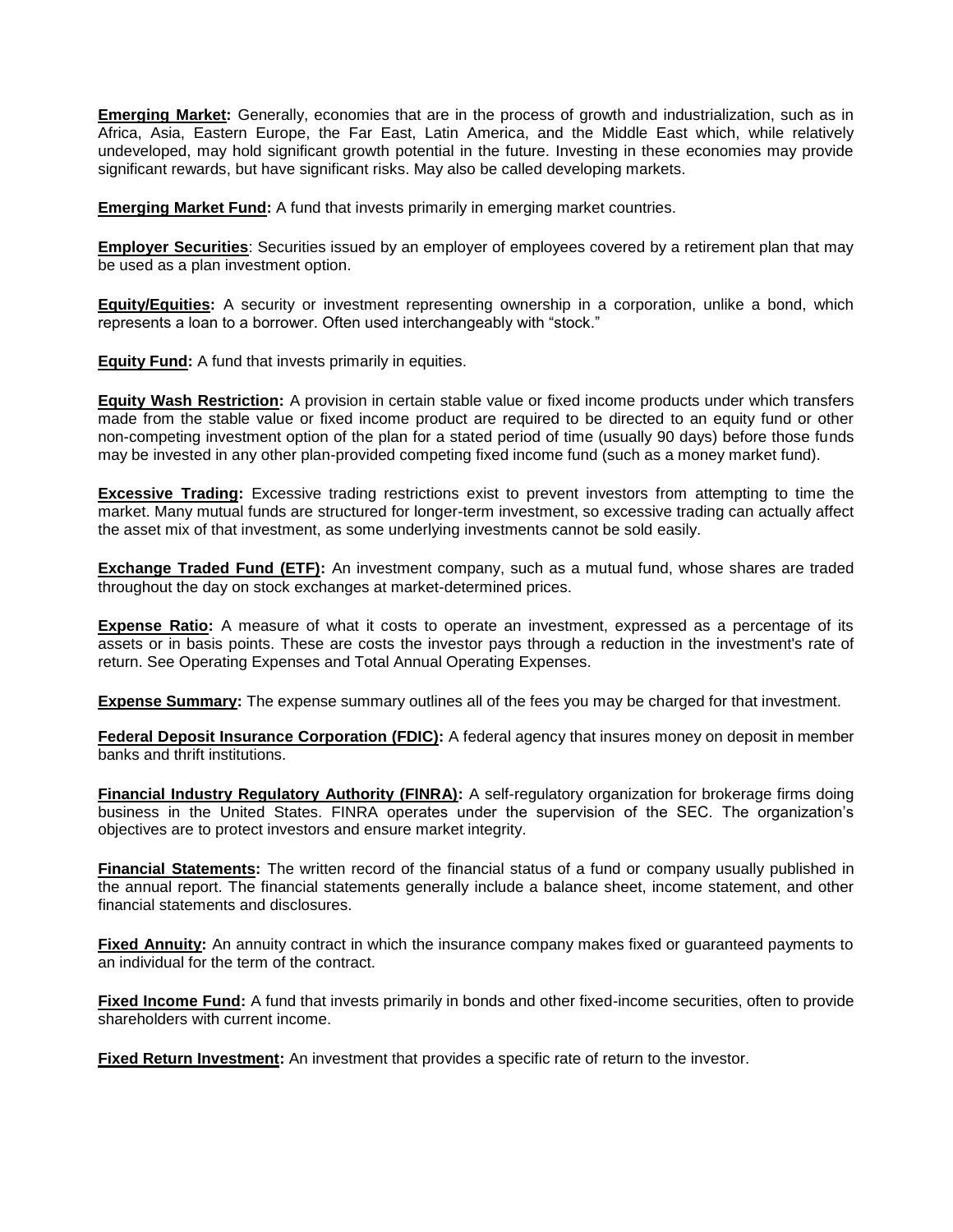**Emerging Market:** Generally, economies that are in the process of growth and industrialization, such as in Africa, Asia, Eastern Europe, the Far East, Latin America, and the Middle East which, while relatively undeveloped, may hold significant growth potential in the future. Investing in these economies may provide significant rewards, but have significant risks. May also be called developing markets.

**Emerging Market Fund:** A fund that invests primarily in emerging market countries.

**Employer Securities**: Securities issued by an employer of employees covered by a retirement plan that may be used as a plan investment option.

**Equity/Equities:** A security or investment representing ownership in a corporation, unlike a bond, which represents a loan to a borrower. Often used interchangeably with "stock."

**Equity Fund:** A fund that invests primarily in equities.

**Equity Wash Restriction:** A provision in certain stable value or fixed income products under which transfers made from the stable value or fixed income product are required to be directed to an equity fund or other non-competing investment option of the plan for a stated period of time (usually 90 days) before those funds may be invested in any other plan-provided competing fixed income fund (such as a money market fund).

**Excessive Trading:** Excessive trading restrictions exist to prevent investors from attempting to time the market. Many mutual funds are structured for longer-term investment, so excessive trading can actually affect the asset mix of that investment, as some underlying investments cannot be sold easily.

**Exchange Traded Fund (ETF):** An investment company, such as a mutual fund, whose shares are traded throughout the day on stock exchanges at market-determined prices.

**Expense Ratio:** A measure of what it costs to operate an investment, expressed as a percentage of its assets or in basis points. These are costs the investor pays through a reduction in the investment's rate of return. See Operating Expenses and Total Annual Operating Expenses.

**Expense Summary:** The expense summary outlines all of the fees you may be charged for that investment.

**Federal Deposit Insurance Corporation (FDIC):** A federal agency that insures money on deposit in member banks and thrift institutions.

**Financial Industry Regulatory Authority (FINRA):** A self-regulatory organization for brokerage firms doing business in the United States. FINRA operates under the supervision of the SEC. The organization's objectives are to protect investors and ensure market integrity.

**Financial Statements:** The written record of the financial status of a fund or company usually published in the annual report. The financial statements generally include a balance sheet, income statement, and other financial statements and disclosures.

**Fixed Annuity:** An annuity contract in which the insurance company makes fixed or guaranteed payments to an individual for the term of the contract.

**Fixed Income Fund:** A fund that invests primarily in bonds and other fixed-income securities, often to provide shareholders with current income.

**Fixed Return Investment:** An investment that provides a specific rate of return to the investor.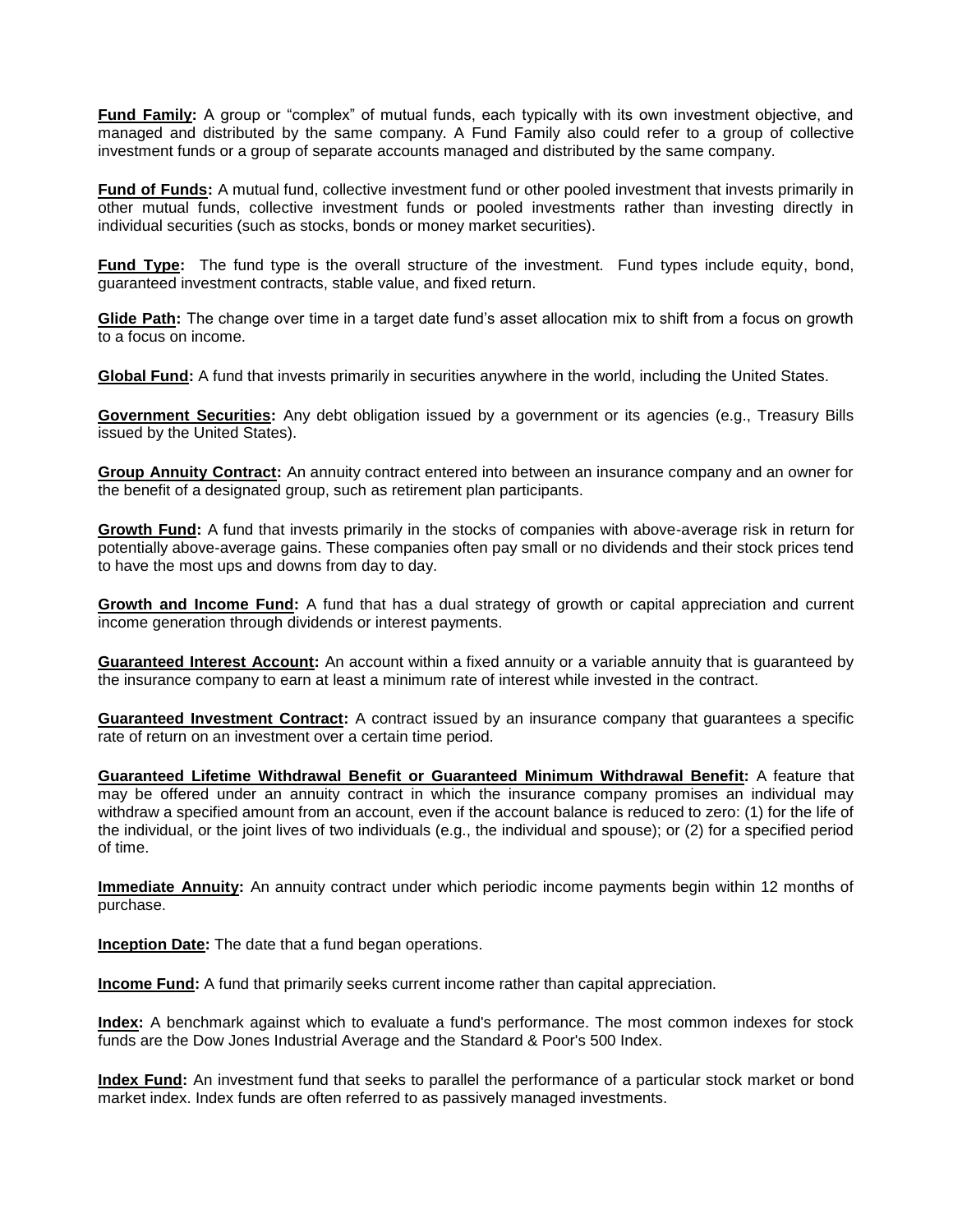**Fund Family:** A group or "complex" of mutual funds, each typically with its own investment objective, and managed and distributed by the same company. A Fund Family also could refer to a group of collective investment funds or a group of separate accounts managed and distributed by the same company.

**Fund of Funds:** A mutual fund, collective investment fund or other pooled investment that invests primarily in other mutual funds, collective investment funds or pooled investments rather than investing directly in individual securities (such as stocks, bonds or money market securities).

**Fund Type:** The fund type is the overall structure of the investment. Fund types include equity, bond, guaranteed investment contracts, stable value, and fixed return.

**Glide Path:** The change over time in a target date fund's asset allocation mix to shift from a focus on growth to a focus on income.

**Global Fund:** A fund that invests primarily in securities anywhere in the world, including the United States.

**Government Securities:** Any debt obligation issued by a government or its agencies (e.g., Treasury Bills issued by the United States).

**Group Annuity Contract:** An annuity contract entered into between an insurance company and an owner for the benefit of a designated group, such as retirement plan participants.

**Growth Fund:** A fund that invests primarily in the stocks of companies with above-average risk in return for potentially above-average gains. These companies often pay small or no dividends and their stock prices tend to have the most ups and downs from day to day.

**Growth and Income Fund:** A fund that has a dual strategy of growth or capital appreciation and current income generation through dividends or interest payments.

**Guaranteed Interest Account:** An account within a fixed annuity or a variable annuity that is guaranteed by the insurance company to earn at least a minimum rate of interest while invested in the contract.

**Guaranteed Investment Contract:** A contract issued by an insurance company that guarantees a specific rate of return on an investment over a certain time period.

**Guaranteed Lifetime Withdrawal Benefit or Guaranteed Minimum Withdrawal Benefit:** A feature that may be offered under an annuity contract in which the insurance company promises an individual may withdraw a specified amount from an account, even if the account balance is reduced to zero: (1) for the life of the individual, or the joint lives of two individuals (e.g., the individual and spouse); or (2) for a specified period of time.

**Immediate Annuity:** An annuity contract under which periodic income payments begin within 12 months of purchase.

**Inception Date:** The date that a fund began operations.

**Income Fund:** A fund that primarily seeks current income rather than capital appreciation.

**Index:** A benchmark against which to evaluate a fund's performance. The most common indexes for stock funds are the Dow Jones Industrial Average and the Standard & Poor's 500 Index.

**Index Fund:** An investment fund that seeks to parallel the performance of a particular stock market or bond market index. Index funds are often referred to as passively managed investments.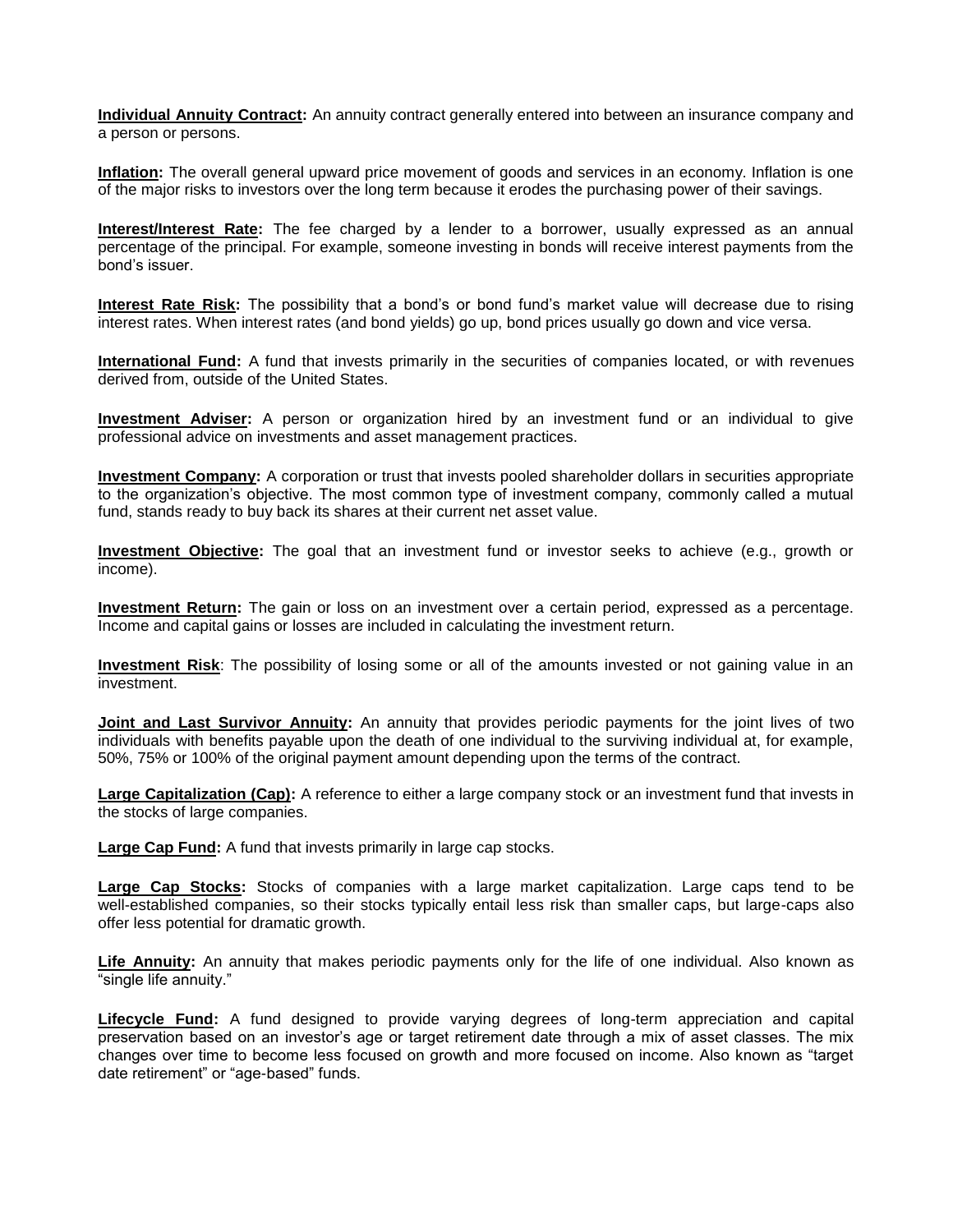**Individual Annuity Contract:** An annuity contract generally entered into between an insurance company and a person or persons.

**Inflation:** The overall general upward price movement of goods and services in an economy. Inflation is one of the major risks to investors over the long term because it erodes the purchasing power of their savings.

**Interest/Interest Rate:** The fee charged by a lender to a borrower, usually expressed as an annual percentage of the principal. For example, someone investing in bonds will receive interest payments from the bond's issuer.

**Interest Rate Risk:** The possibility that a bond's or bond fund's market value will decrease due to rising interest rates. When interest rates (and bond yields) go up, bond prices usually go down and vice versa.

**International Fund:** A fund that invests primarily in the securities of companies located, or with revenues derived from, outside of the United States.

**Investment Adviser:** A person or organization hired by an investment fund or an individual to give professional advice on investments and asset management practices.

**Investment Company:** A corporation or trust that invests pooled shareholder dollars in securities appropriate to the organization's objective. The most common type of investment company, commonly called a mutual fund, stands ready to buy back its shares at their current net asset value.

**Investment Objective:** The goal that an investment fund or investor seeks to achieve (e.g., growth or income).

**Investment Return:** The gain or loss on an investment over a certain period, expressed as a percentage. Income and capital gains or losses are included in calculating the investment return.

**Investment Risk**: The possibility of losing some or all of the amounts invested or not gaining value in an investment.

**Joint and Last Survivor Annuity:** An annuity that provides periodic payments for the joint lives of two individuals with benefits payable upon the death of one individual to the surviving individual at, for example, 50%, 75% or 100% of the original payment amount depending upon the terms of the contract.

**Large Capitalization (Cap):** A reference to either a large company stock or an investment fund that invests in the stocks of large companies.

**Large Cap Fund:** A fund that invests primarily in large cap stocks.

**Large Cap Stocks:** Stocks of companies with a large market capitalization. Large caps tend to be well-established companies, so their stocks typically entail less risk than smaller caps, but large-caps also offer less potential for dramatic growth.

**Life Annuity:** An annuity that makes periodic payments only for the life of one individual. Also known as "single life annuity."

**Lifecycle Fund:** A fund designed to provide varying degrees of long-term appreciation and capital preservation based on an investor's age or target retirement date through a mix of asset classes. The mix changes over time to become less focused on growth and more focused on income. Also known as "target date retirement" or "age-based" funds.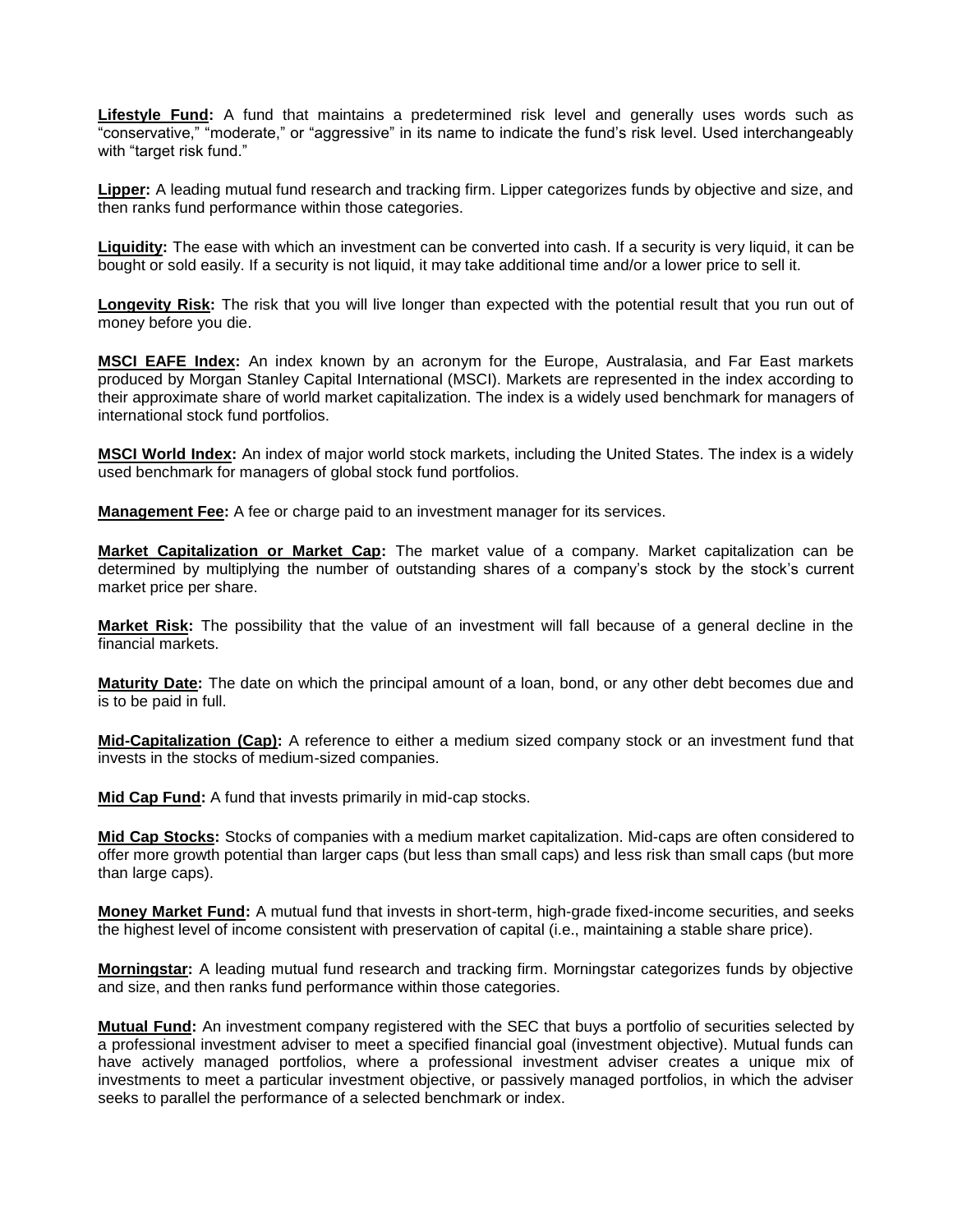**Lifestyle Fund:** A fund that maintains a predetermined risk level and generally uses words such as "conservative," "moderate," or "aggressive" in its name to indicate the fund's risk level. Used interchangeably with "target risk fund."

**Lipper:** A leading mutual fund research and tracking firm. Lipper categorizes funds by objective and size, and then ranks fund performance within those categories.

**Liquidity:** The ease with which an investment can be converted into cash. If a security is very liquid, it can be bought or sold easily. If a security is not liquid, it may take additional time and/or a lower price to sell it.

**Longevity Risk:** The risk that you will live longer than expected with the potential result that you run out of money before you die.

**MSCI EAFE Index:** An index known by an acronym for the Europe, Australasia, and Far East markets produced by Morgan Stanley Capital International (MSCI). Markets are represented in the index according to their approximate share of world market capitalization. The index is a widely used benchmark for managers of international stock fund portfolios.

**MSCI World Index:** An index of major world stock markets, including the United States. The index is a widely used benchmark for managers of global stock fund portfolios.

**Management Fee:** A fee or charge paid to an investment manager for its services.

**Market Capitalization or Market Cap:** The market value of a company. Market capitalization can be determined by multiplying the number of outstanding shares of a company's stock by the stock's current market price per share.

**Market Risk:** The possibility that the value of an investment will fall because of a general decline in the financial markets.

**Maturity Date:** The date on which the principal amount of a loan, bond, or any other debt becomes due and is to be paid in full.

**Mid-Capitalization (Cap):** A reference to either a medium sized company stock or an investment fund that invests in the stocks of medium-sized companies.

**Mid Cap Fund:** A fund that invests primarily in mid-cap stocks.

**Mid Cap Stocks:** Stocks of companies with a medium market capitalization. Mid-caps are often considered to offer more growth potential than larger caps (but less than small caps) and less risk than small caps (but more than large caps).

**Money Market Fund:** A mutual fund that invests in short-term, high-grade fixed-income securities, and seeks the highest level of income consistent with preservation of capital (i.e., maintaining a stable share price).

**Morningstar:** A leading mutual fund research and tracking firm. Morningstar categorizes funds by objective and size, and then ranks fund performance within those categories.

**Mutual Fund:** An investment company registered with the SEC that buys a portfolio of securities selected by a professional investment adviser to meet a specified financial goal (investment objective). Mutual funds can have actively managed portfolios, where a professional investment adviser creates a unique mix of investments to meet a particular investment objective, or passively managed portfolios, in which the adviser seeks to parallel the performance of a selected benchmark or index.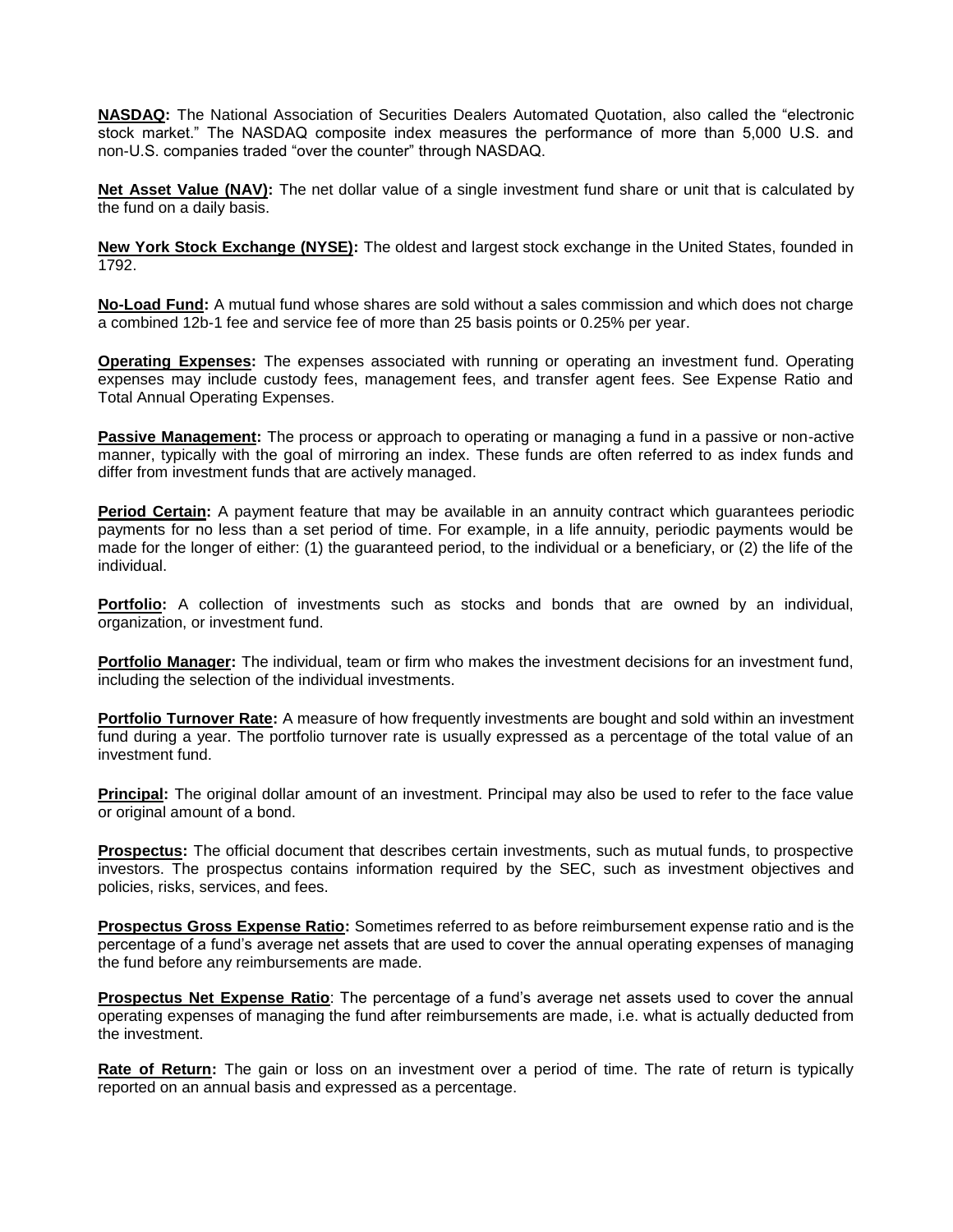**NASDAQ:** The National Association of Securities Dealers Automated Quotation, also called the "electronic stock market." The NASDAQ composite index measures the performance of more than 5,000 U.S. and non-U.S. companies traded "over the counter" through NASDAQ.

**Net Asset Value (NAV):** The net dollar value of a single investment fund share or unit that is calculated by the fund on a daily basis.

**New York Stock Exchange (NYSE):** The oldest and largest stock exchange in the United States, founded in 1792.

**No-Load Fund:** A mutual fund whose shares are sold without a sales commission and which does not charge a combined 12b-1 fee and service fee of more than 25 basis points or 0.25% per year.

**Operating Expenses:** The expenses associated with running or operating an investment fund. Operating expenses may include custody fees, management fees, and transfer agent fees. See Expense Ratio and Total Annual Operating Expenses.

**Passive Management:** The process or approach to operating or managing a fund in a passive or non-active manner, typically with the goal of mirroring an index. These funds are often referred to as index funds and differ from investment funds that are actively managed.

**Period Certain:** A payment feature that may be available in an annuity contract which guarantees periodic payments for no less than a set period of time. For example, in a life annuity, periodic payments would be made for the longer of either: (1) the guaranteed period, to the individual or a beneficiary, or (2) the life of the individual.

**Portfolio:** A collection of investments such as stocks and bonds that are owned by an individual, organization, or investment fund.

**Portfolio Manager:** The individual, team or firm who makes the investment decisions for an investment fund, including the selection of the individual investments.

**Portfolio Turnover Rate:** A measure of how frequently investments are bought and sold within an investment fund during a year. The portfolio turnover rate is usually expressed as a percentage of the total value of an investment fund.

**Principal:** The original dollar amount of an investment. Principal may also be used to refer to the face value or original amount of a bond.

**Prospectus:** The official document that describes certain investments, such as mutual funds, to prospective investors. The prospectus contains information required by the SEC, such as investment objectives and policies, risks, services, and fees.

**Prospectus Gross Expense Ratio:** Sometimes referred to as before reimbursement expense ratio and is the percentage of a fund's average net assets that are used to cover the annual operating expenses of managing the fund before any reimbursements are made.

**Prospectus Net Expense Ratio**: The percentage of a fund's average net assets used to cover the annual operating expenses of managing the fund after reimbursements are made, i.e. what is actually deducted from the investment.

**Rate of Return:** The gain or loss on an investment over a period of time. The rate of return is typically reported on an annual basis and expressed as a percentage.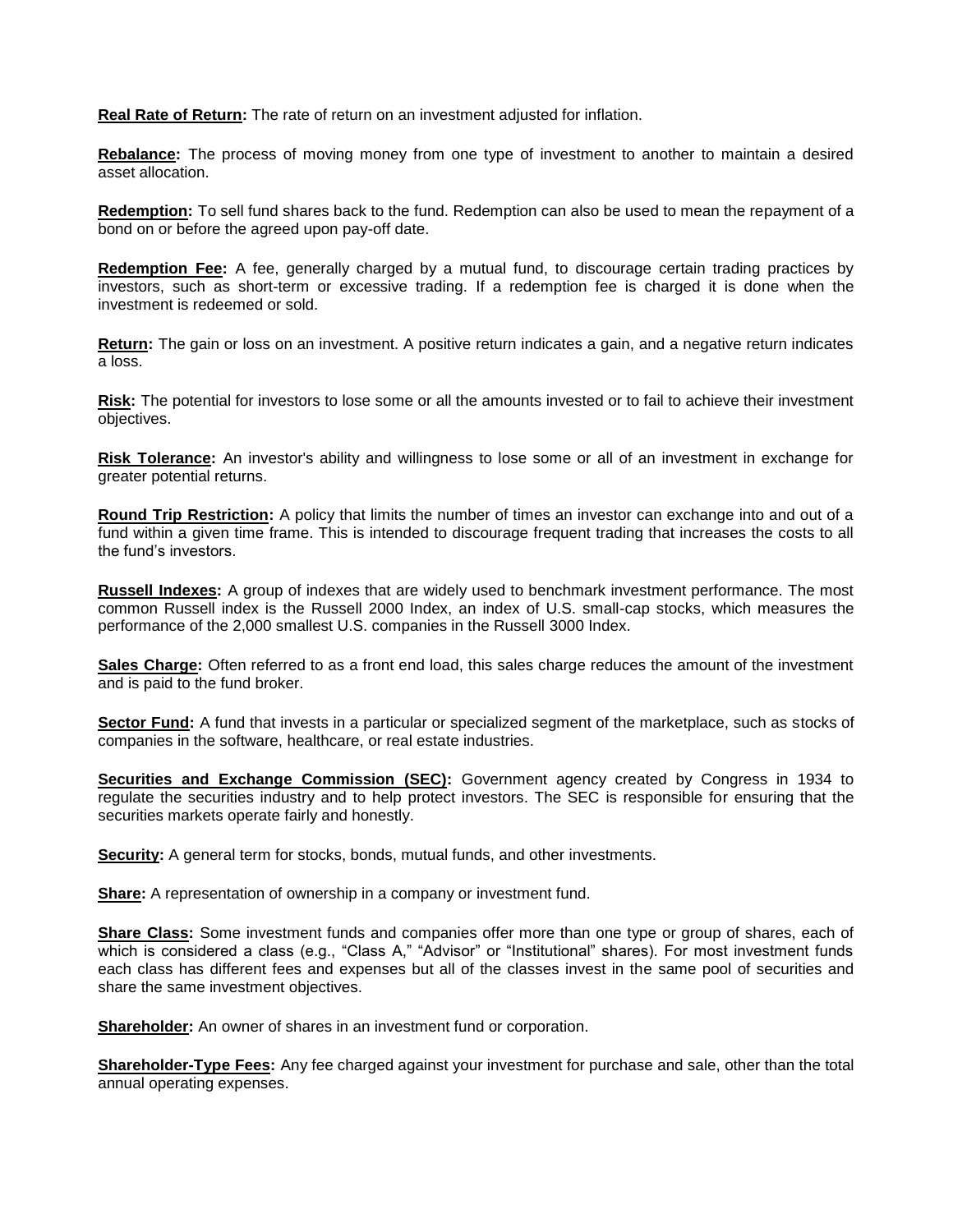**Real Rate of Return:** The rate of return on an investment adjusted for inflation.

**Rebalance:** The process of moving money from one type of investment to another to maintain a desired asset allocation.

**Redemption:** To sell fund shares back to the fund. Redemption can also be used to mean the repayment of a bond on or before the agreed upon pay-off date.

**Redemption Fee:** A fee, generally charged by a mutual fund, to discourage certain trading practices by investors, such as short-term or excessive trading. If a redemption fee is charged it is done when the investment is redeemed or sold.

**Return:** The gain or loss on an investment. A positive return indicates a gain, and a negative return indicates a loss.

**Risk:** The potential for investors to lose some or all the amounts invested or to fail to achieve their investment objectives.

**Risk Tolerance:** An investor's ability and willingness to lose some or all of an investment in exchange for greater potential returns.

**Round Trip Restriction:** A policy that limits the number of times an investor can exchange into and out of a fund within a given time frame. This is intended to discourage frequent trading that increases the costs to all the fund's investors.

**Russell Indexes:** A group of indexes that are widely used to benchmark investment performance. The most common Russell index is the Russell 2000 Index, an index of U.S. small-cap stocks, which measures the performance of the 2,000 smallest U.S. companies in the Russell 3000 Index.

**Sales Charge:** Often referred to as a front end load, this sales charge reduces the amount of the investment and is paid to the fund broker.

**Sector Fund:** A fund that invests in a particular or specialized segment of the marketplace, such as stocks of companies in the software, healthcare, or real estate industries.

**Securities and Exchange Commission (SEC):** Government agency created by Congress in 1934 to regulate the securities industry and to help protect investors. The SEC is responsible for ensuring that the securities markets operate fairly and honestly.

**Security:** A general term for stocks, bonds, mutual funds, and other investments.

**Share:** A representation of ownership in a company or investment fund.

**Share Class:** Some investment funds and companies offer more than one type or group of shares, each of which is considered a class (e.g., "Class A," "Advisor" or "Institutional" shares). For most investment funds each class has different fees and expenses but all of the classes invest in the same pool of securities and share the same investment objectives.

**Shareholder:** An owner of shares in an investment fund or corporation.

**Shareholder-Type Fees:** Any fee charged against your investment for purchase and sale, other than the total annual operating expenses.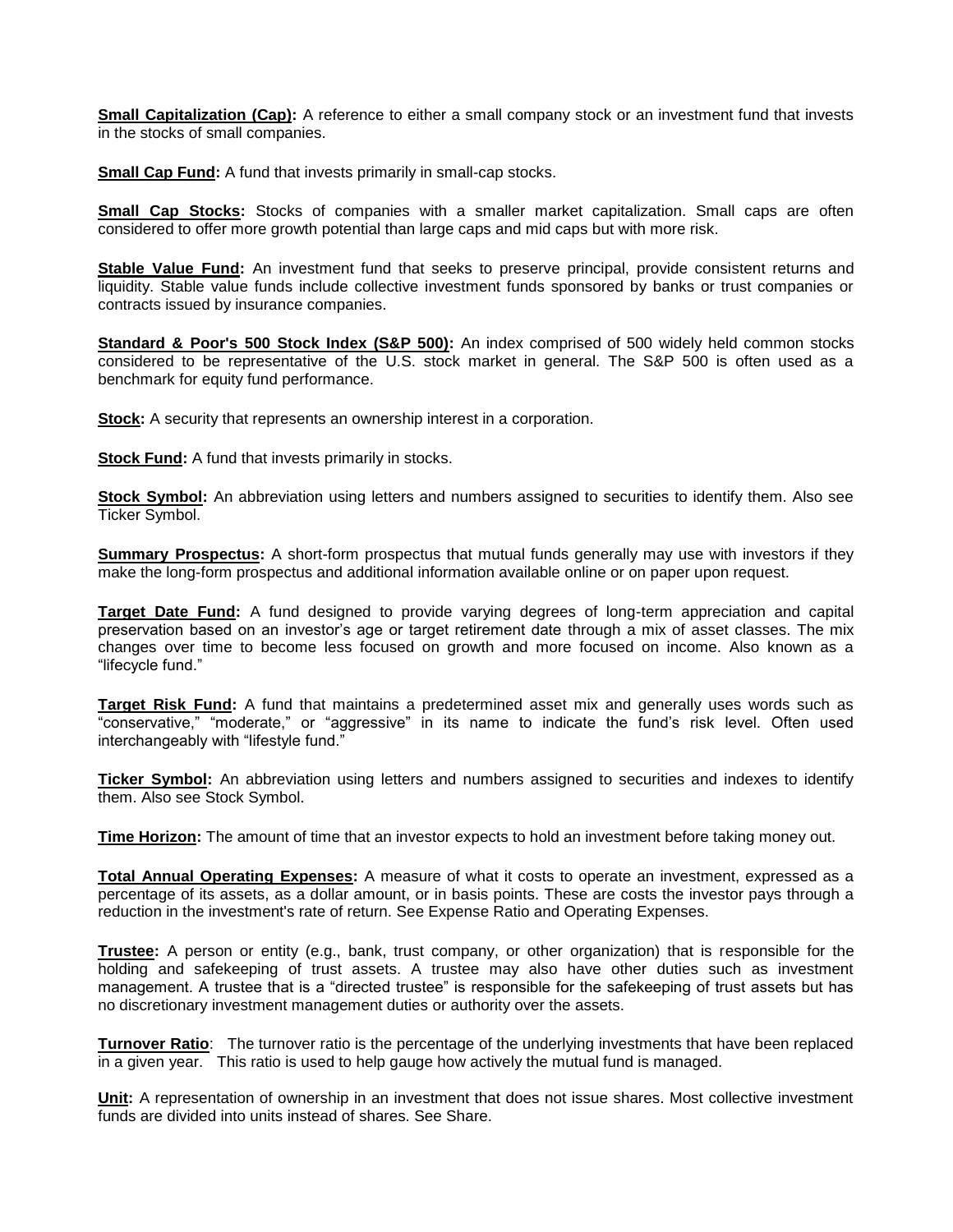**Small Capitalization (Cap):** A reference to either a small company stock or an investment fund that invests in the stocks of small companies.

**Small Cap Fund:** A fund that invests primarily in small-cap stocks.

**Small Cap Stocks:** Stocks of companies with a smaller market capitalization. Small caps are often considered to offer more growth potential than large caps and mid caps but with more risk.

**Stable Value Fund:** An investment fund that seeks to preserve principal, provide consistent returns and liquidity. Stable value funds include collective investment funds sponsored by banks or trust companies or contracts issued by insurance companies.

**Standard & Poor's 500 Stock Index (S&P 500):** An index comprised of 500 widely held common stocks considered to be representative of the U.S. stock market in general. The S&P 500 is often used as a benchmark for equity fund performance.

**Stock:** A security that represents an ownership interest in a corporation.

**Stock Fund:** A fund that invests primarily in stocks.

**Stock Symbol:** An abbreviation using letters and numbers assigned to securities to identify them. Also see Ticker Symbol.

**Summary Prospectus:** A short-form prospectus that mutual funds generally may use with investors if they make the long-form prospectus and additional information available online or on paper upon request.

**Target Date Fund:** A fund designed to provide varying degrees of long-term appreciation and capital preservation based on an investor's age or target retirement date through a mix of asset classes. The mix changes over time to become less focused on growth and more focused on income. Also known as a "lifecycle fund."

**Target Risk Fund:** A fund that maintains a predetermined asset mix and generally uses words such as "conservative," "moderate," or "aggressive" in its name to indicate the fund's risk level. Often used interchangeably with "lifestyle fund."

**Ticker Symbol:** An abbreviation using letters and numbers assigned to securities and indexes to identify them. Also see Stock Symbol.

**Time Horizon:** The amount of time that an investor expects to hold an investment before taking money out.

**Total Annual Operating Expenses:** A measure of what it costs to operate an investment, expressed as a percentage of its assets, as a dollar amount, or in basis points. These are costs the investor pays through a reduction in the investment's rate of return. See Expense Ratio and Operating Expenses.

**Trustee:** A person or entity (e.g., bank, trust company, or other organization) that is responsible for the holding and safekeeping of trust assets. A trustee may also have other duties such as investment management. A trustee that is a "directed trustee" is responsible for the safekeeping of trust assets but has no discretionary investment management duties or authority over the assets.

**Turnover Ratio**: The turnover ratio is the percentage of the underlying investments that have been replaced in a given year. This ratio is used to help gauge how actively the mutual fund is managed.

**Unit:** A representation of ownership in an investment that does not issue shares. Most collective investment funds are divided into units instead of shares. See Share.